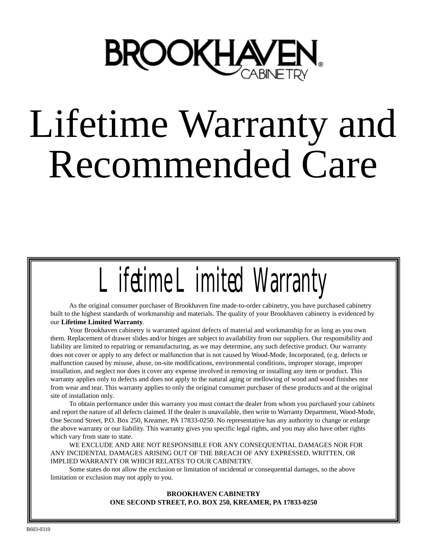

# Lifetime Warranty and Recommended Care

*Lifetime Limited Warranty*

As the original consumer purchaser of Brookhaven fine made-to-order cabinetry, you have purchased cabinetry built to the highest standards of workmanship and materials. The quality of your Brookhaven cabinetry is evidenced by our **Lifetime Limited Warranty**.

Your Brookhaven cabinetry is warranted against defects of material and workmanship for as long as you own them. Replacement of drawer slides and/or hinges are subject to availability from our suppliers. Our responsibility and liability are limited to repairing or remanufacturing, as we may determine, any such defective product. Our warranty does not cover or apply to any defect or malfunction that is not caused by Wood-Mode, Incorporated, (e.g. defects or malfunction caused by misuse, abuse, on-site modifications, environmental conditions, improper storage, improper installation, and neglect nor does it cover any expense involved in removing or installing any item or product. This warranty applies only to defects and does not apply to the natural aging or mellowing of wood and wood finishes nor from wear and tear. This warranty applies to only the original consumer purchaser of these products and at the original site of installation only.

To obtain performance under this warranty you must contact the dealer from whom you purchased your cabinets and report the nature of all defects claimed. If the dealer is unavailable, then write to Warranty Department, Wood-Mode, One Second Street, P.O. Box 250, Kreamer, PA 17833-0250. No representative has any authority to change or enlarge the above warranty or our liability. This warranty gives you specific legal rights, and you may also have other rights which vary from state to state.

WE EXCLUDE AND ARE NOT RESPONSIBLE FOR ANY CONSEQUENTIAL DAMAGES NOR FOR ANY INCIDENTAL DAMAGES ARISING OUT OF THE BREACH OF ANY EXPRESSED, WRITTEN, OR IMPLIED WARRANTY OR WHICH RELATES TO OUR CABINETRY.

Some states do not allow the exclusion or limitation of incidental or consequential damages, so the above limitation or exclusion may not apply to you.

#### **BROOKHAVEN CABINETRY ONE SECOND STREET, P.O. BOX 250, KREAMER, PA 17833-0250**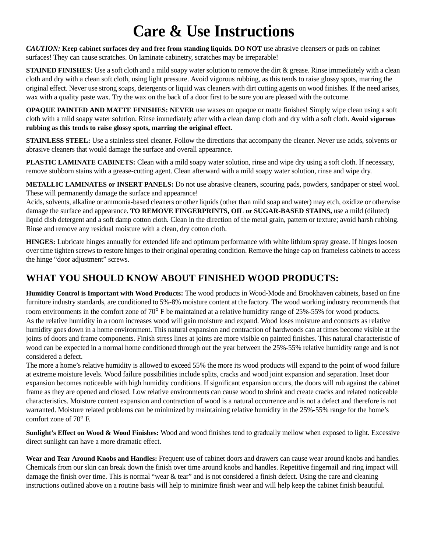## **Care & Use Instructions**

*CAUTION:* **Keep cabinet surfaces dry and free from standing liquids. DO NOT** use abrasive cleansers or pads on cabinet surfaces! They can cause scratches. On laminate cabinetry, scratches may be irreparable!

**STAINED FINISHES:** Use a soft cloth and a mild soapy water solution to remove the dirt & grease. Rinse immediately with a clean cloth and dry with a clean soft cloth, using light pressure. Avoid vigorous rubbing, as this tends to raise glossy spots, marring the original effect. Never use strong soaps, detergents or liquid wax cleaners with dirt cutting agents on wood finishes. If the need arises, wax with a quality paste wax. Try the wax on the back of a door first to be sure you are pleased with the outcome.

**OPAQUE PAINTED AND MATTE FINISHES: NEVER** use waxes on opaque or matte finishes! Simply wipe clean using a soft cloth with a mild soapy water solution. Rinse immediately after with a clean damp cloth and dry with a soft cloth. **Avoid vigorous rubbing as this tends to raise glossy spots, marring the original effect.**

**STAINLESS STEEL:** Use a stainless steel cleaner. Follow the directions that accompany the cleaner. Never use acids, solvents or abrasive cleaners that would damage the surface and overall appearance.

**PLASTIC LAMINATE CABINETS:** Clean with a mild soapy water solution, rinse and wipe dry using a soft cloth. If necessary, remove stubborn stains with a grease-cutting agent. Clean afterward with a mild soapy water solution, rinse and wipe dry.

**METALLIC LAMINATES or INSERT PANELS:** Do not use abrasive cleaners, scouring pads, powders, sandpaper or steel wool. These will permanently damage the surface and appearance!

Acids, solvents, alkaline or ammonia-based cleaners or other liquids (other than mild soap and water) may etch, oxidize or otherwise damage the surface and appearance. **TO REMOVE FINGERPRINTS, OIL or SUGAR-BASED STAINS,** use a mild (diluted) liquid dish detergent and a soft damp cotton cloth. Clean in the direction of the metal grain, pattern or texture; avoid harsh rubbing. Rinse and remove any residual moisture with a clean, dry cotton cloth.

**HINGES:** Lubricate hinges annually for extended life and optimum performance with white lithium spray grease. If hinges loosen over time tighten screws to restore hinges to their original operating condition. Remove the hinge cap on frameless cabinets to access the hinge "door adjustment" screws.

#### **WHAT YOU SHOULD KNOW ABOUT FINISHED WOOD PRODUCTS:**

**Humidity Control is Important with Wood Products:** The wood products in Wood-Mode and Brookhaven cabinets, based on fine furniture industry standards, are conditioned to 5%-8% moisture content at the factory. The wood working industry recommends that room environments in the comfort zone of 70° F be maintained at a relative humidity range of 25%-55% for wood products.

As the relative humidity in a room increases wood will gain moisture and expand. Wood loses moisture and contracts as relative humidity goes down in a home environment. This natural expansion and contraction of hardwoods can at times become visible at the joints of doors and frame components. Finish stress lines at joints are more visible on painted finishes. This natural characteristic of wood can be expected in a normal home conditioned through out the year between the 25%-55% relative humidity range and is not considered a defect.

The more a home's relative humidity is allowed to exceed 55% the more its wood products will expand to the point of wood failure at extreme moisture levels. Wood failure possibilities include splits, cracks and wood joint expansion and separation. Inset door expansion becomes noticeable with high humidity conditions. If significant expansion occurs, the doors will rub against the cabinet frame as they are opened and closed. Low relative environments can cause wood to shrink and create cracks and related noticeable characteristics. Moisture content expansion and contraction of wood is a natural occurrence and is not a defect and therefore is not warranted. Moisture related problems can be minimized by maintaining relative humidity in the 25%-55% range for the home's comfort zone of 70° F.

**Sunlight's Effect on Wood & Wood Finishes:** Wood and wood finishes tend to gradually mellow when exposed to light. Excessive direct sunlight can have a more dramatic effect.

**Wear and Tear Around Knobs and Handles:** Frequent use of cabinet doors and drawers can cause wear around knobs and handles. Chemicals from our skin can break down the finish over time around knobs and handles. Repetitive fingernail and ring impact will damage the finish over time. This is normal "wear & tear" and is not considered a finish defect. Using the care and cleaning instructions outlined above on a routine basis will help to minimize finish wear and will help keep the cabinet finish beautiful.